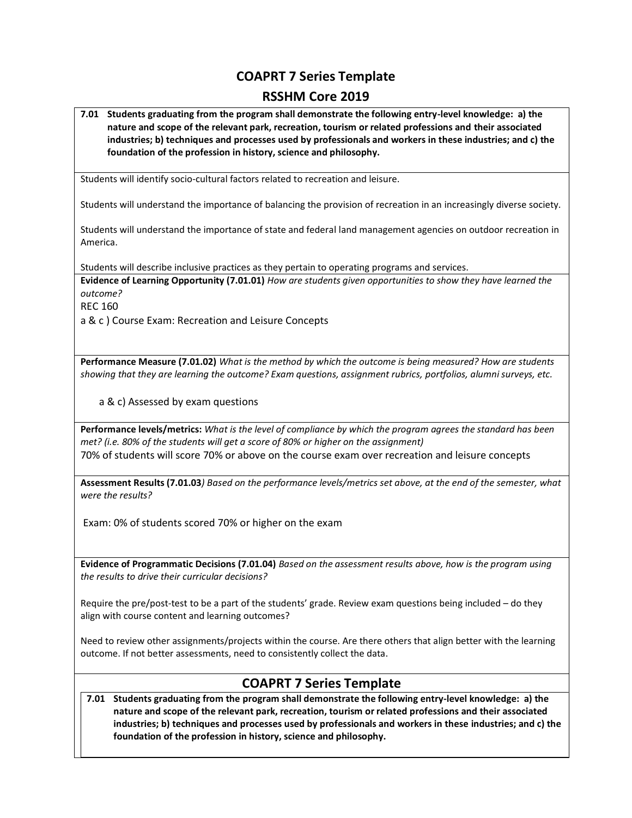# **COAPRT 7 Series Template**

#### **RSSHM Core 2019**

**7.01 Students graduating from the program shall demonstrate the following entry-level knowledge: a) the nature and scope of the relevant park, recreation, tourism or related professions and their associated industries; b) techniques and processes used by professionals and workers in these industries; and c) the foundation of the profession in history, science and philosophy.**

Students will identify socio-cultural factors related to recreation and leisure.

Students will understand the importance of balancing the provision of recreation in an increasingly diverse society.

Students will understand the importance of state and federal land management agencies on outdoor recreation in America.

Students will describe inclusive practices as they pertain to operating programs and services.

**Evidence of Learning Opportunity (7.01.01)** *How are students given opportunities to show they have learned the outcome?*

REC 160

a & c ) Course Exam: Recreation and Leisure Concepts

**Performance Measure (7.01.02)** *What is the method by which the outcome is being measured? How are students showing that they are learning the outcome? Exam questions, assignment rubrics, portfolios, alumni surveys, etc.*

a & c) Assessed by exam questions

**Performance levels/metrics:** *What is the level of compliance by which the program agrees the standard has been met? (i.e. 80% of the students will get a score of 80% or higher on the assignment)* 70% of students will score 70% or above on the course exam over recreation and leisure concepts

**Assessment Results (7.01.03***) Based on the performance levels/metrics set above, at the end of the semester, what were the results?*

Exam: 0% of students scored 70% or higher on the exam

**Evidence of Programmatic Decisions (7.01.04)** *Based on the assessment results above, how is the program using the results to drive their curricular decisions?* 

Require the pre/post-test to be a part of the students' grade. Review exam questions being included – do they align with course content and learning outcomes?

Need to review other assignments/projects within the course. Are there others that align better with the learning outcome. If not better assessments, need to consistently collect the data.

# **COAPRT 7 Series Template**

**7.01 Students graduating from the program shall demonstrate the following entry-level knowledge: a) the nature and scope of the relevant park, recreation, tourism or related professions and their associated industries; b) techniques and processes used by professionals and workers in these industries; and c) the foundation of the profession in history, science and philosophy.**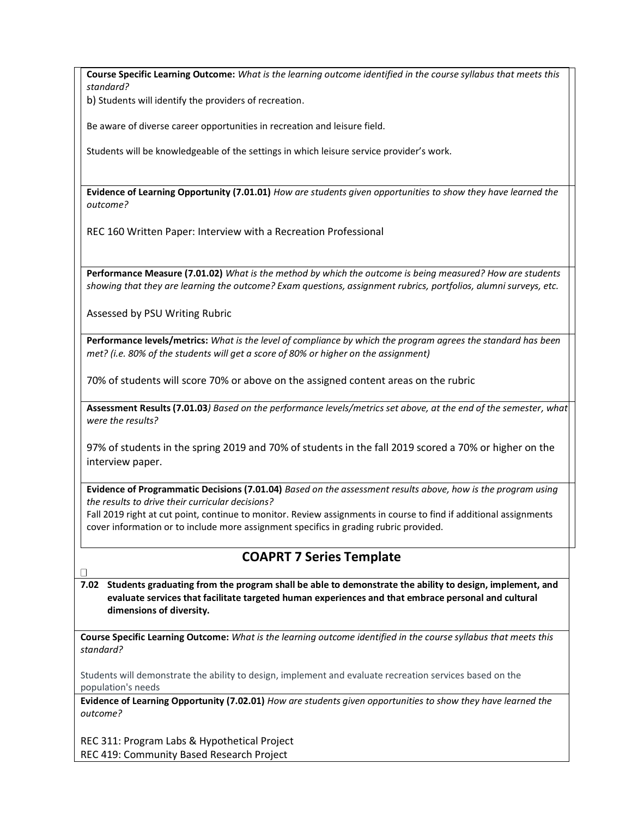**Course Specific Learning Outcome:** *What is the learning outcome identified in the course syllabus that meets this standard?*

b) Students will identify the providers of recreation.

Be aware of diverse career opportunities in recreation and leisure field.

Students will be knowledgeable of the settings in which leisure service provider's work.

**Evidence of Learning Opportunity (7.01.01)** *How are students given opportunities to show they have learned the outcome?*

REC 160 Written Paper: Interview with a Recreation Professional

**Performance Measure (7.01.02)** *What is the method by which the outcome is being measured? How are students showing that they are learning the outcome? Exam questions, assignment rubrics, portfolios, alumni surveys, etc.*

Assessed by PSU Writing Rubric

**Performance levels/metrics:** *What is the level of compliance by which the program agrees the standard has been met? (i.e. 80% of the students will get a score of 80% or higher on the assignment)*

70% of students will score 70% or above on the assigned content areas on the rubric

**Assessment Results (7.01.03***) Based on the performance levels/metrics set above, at the end of the semester, what were the results?*

97% of students in the spring 2019 and 70% of students in the fall 2019 scored a 70% or higher on the interview paper.

**Evidence of Programmatic Decisions (7.01.04)** *Based on the assessment results above, how is the program using the results to drive their curricular decisions?* 

Fall 2019 right at cut point, continue to monitor. Review assignments in course to find if additional assignments cover information or to include more assignment specifics in grading rubric provided.

# **COAPRT 7 Series Template**

**7.02 Students graduating from the program shall be able to demonstrate the ability to design, implement, and evaluate services that facilitate targeted human experiences and that embrace personal and cultural dimensions of diversity.**

**Course Specific Learning Outcome:** *What is the learning outcome identified in the course syllabus that meets this standard?*

Students will demonstrate the ability to design, implement and evaluate recreation services based on the population's needs

**Evidence of Learning Opportunity (7.02.01)** *How are students given opportunities to show they have learned the outcome?*

REC 311: Program Labs & Hypothetical Project REC 419: Community Based Research Project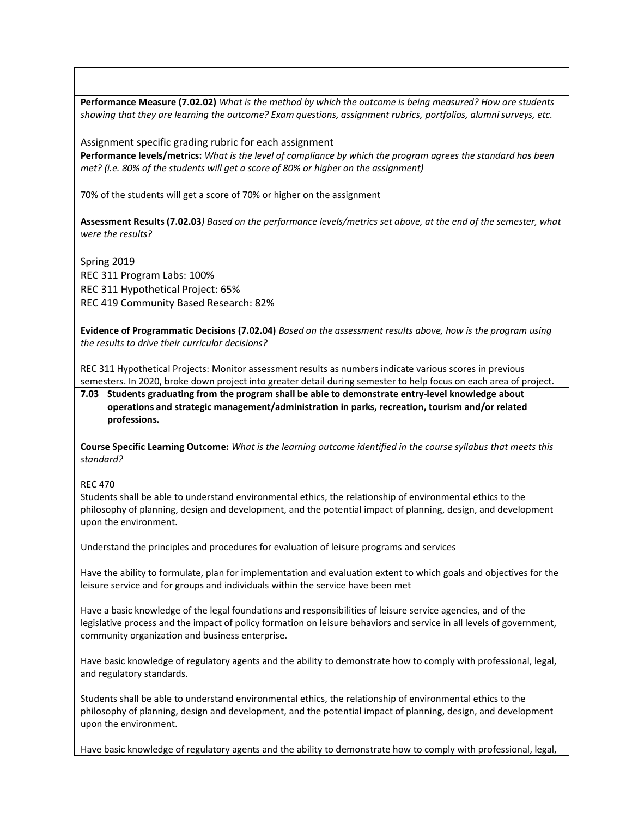**Performance Measure (7.02.02)** *What is the method by which the outcome is being measured? How are students showing that they are learning the outcome? Exam questions, assignment rubrics, portfolios, alumni surveys, etc.*

Assignment specific grading rubric for each assignment

**Performance levels/metrics:** *What is the level of compliance by which the program agrees the standard has been met? (i.e. 80% of the students will get a score of 80% or higher on the assignment)*

70% of the students will get a score of 70% or higher on the assignment

**Assessment Results (7.02.03***) Based on the performance levels/metrics set above, at the end of the semester, what were the results?*

Spring 2019 REC 311 Program Labs: 100% REC 311 Hypothetical Project: 65% REC 419 Community Based Research: 82%

**Evidence of Programmatic Decisions (7.02.04)** *Based on the assessment results above, how is the program using the results to drive their curricular decisions?* 

REC 311 Hypothetical Projects: Monitor assessment results as numbers indicate various scores in previous semesters. In 2020, broke down project into greater detail during semester to help focus on each area of project.

**7.03 Students graduating from the program shall be able to demonstrate entry-level knowledge about operations and strategic management/administration in parks, recreation, tourism and/or related professions.**

**Course Specific Learning Outcome:** *What is the learning outcome identified in the course syllabus that meets this standard?*

#### REC 470

Students shall be able to understand environmental ethics, the relationship of environmental ethics to the philosophy of planning, design and development, and the potential impact of planning, design, and development upon the environment.

Understand the principles and procedures for evaluation of leisure programs and services

Have the ability to formulate, plan for implementation and evaluation extent to which goals and objectives for the leisure service and for groups and individuals within the service have been met

Have a basic knowledge of the legal foundations and responsibilities of leisure service agencies, and of the legislative process and the impact of policy formation on leisure behaviors and service in all levels of government, community organization and business enterprise.

Have basic knowledge of regulatory agents and the ability to demonstrate how to comply with professional, legal, and regulatory standards.

Students shall be able to understand environmental ethics, the relationship of environmental ethics to the philosophy of planning, design and development, and the potential impact of planning, design, and development upon the environment.

Have basic knowledge of regulatory agents and the ability to demonstrate how to comply with professional, legal,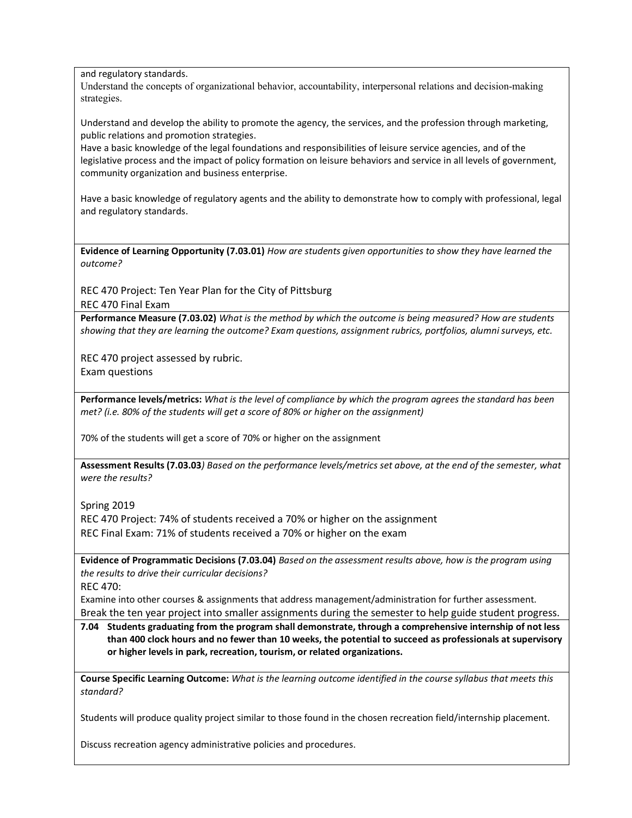and regulatory standards.

Understand the concepts of organizational behavior, accountability, interpersonal relations and decision-making strategies.

Understand and develop the ability to promote the agency, the services, and the profession through marketing, public relations and promotion strategies.

Have a basic knowledge of the legal foundations and responsibilities of leisure service agencies, and of the legislative process and the impact of policy formation on leisure behaviors and service in all levels of government, community organization and business enterprise.

Have a basic knowledge of regulatory agents and the ability to demonstrate how to comply with professional, legal and regulatory standards.

**Evidence of Learning Opportunity (7.03.01)** *How are students given opportunities to show they have learned the outcome?*

REC 470 Project: Ten Year Plan for the City of Pittsburg REC 470 Final Exam

**Performance Measure (7.03.02)** *What is the method by which the outcome is being measured? How are students showing that they are learning the outcome? Exam questions, assignment rubrics, portfolios, alumni surveys, etc.*

REC 470 project assessed by rubric. Exam questions

**Performance levels/metrics:** *What is the level of compliance by which the program agrees the standard has been met? (i.e. 80% of the students will get a score of 80% or higher on the assignment)*

70% of the students will get a score of 70% or higher on the assignment

**Assessment Results (7.03.03***) Based on the performance levels/metrics set above, at the end of the semester, what were the results?*

Spring 2019

REC 470 Project: 74% of students received a 70% or higher on the assignment REC Final Exam: 71% of students received a 70% or higher on the exam

**Evidence of Programmatic Decisions (7.03.04)** *Based on the assessment results above, how is the program using the results to drive their curricular decisions?* 

REC 470:

Examine into other courses & assignments that address management/administration for further assessment. Break the ten year project into smaller assignments during the semester to help guide student progress.

**7.04 Students graduating from the program shall demonstrate, through a comprehensive internship of not less than 400 clock hours and no fewer than 10 weeks, the potential to succeed as professionals at supervisory or higher levels in park, recreation, tourism, or related organizations.** 

**Course Specific Learning Outcome:** *What is the learning outcome identified in the course syllabus that meets this standard?*

Students will produce quality project similar to those found in the chosen recreation field/internship placement.

Discuss recreation agency administrative policies and procedures.